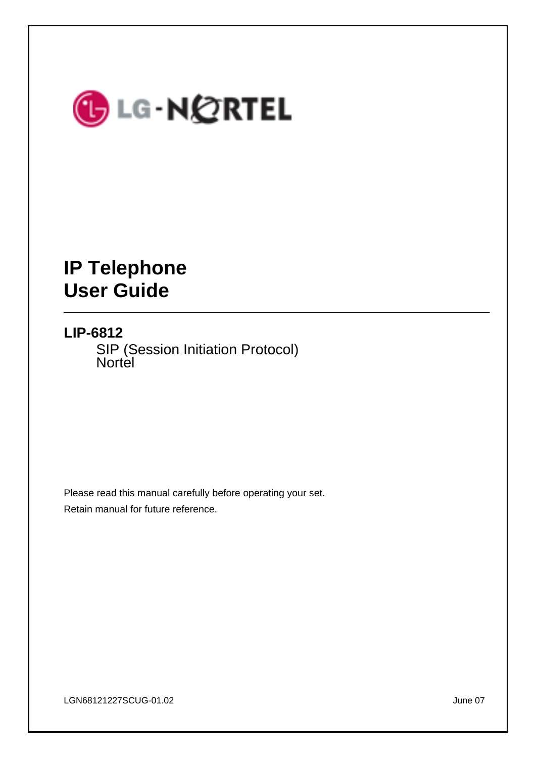

# **IP Telephone User Guide**

# **LIP-6812**

SIP (Session Initiation Protocol) Nortel

Please read this manual carefully before operating your set. Retain manual for future reference.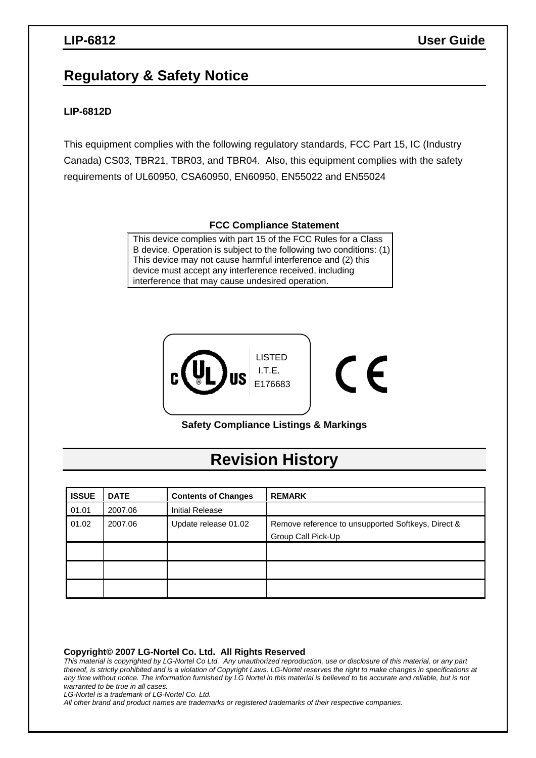# **Regulatory & Safety Notice**

### **LIP-6812D**

This equipment complies with the following regulatory standards, FCC Part 15, IC (Industry Canada) CS03, TBR21, TBR03, and TBR04. Also, this equipment complies with the safety requirements of UL60950, CSA60950, EN60950, EN55022 and EN55024

### **FCC Compliance Statement**

This device complies with part 15 of the FCC Rules for a Class B device. Operation is subject to the following two conditions: (1) This device may not cause harmful interference and (2) this device must accept any interference received, including interference that may cause undesired operation.



**Safety Compliance Listings & Markings** 

# **Revision History**

| <b>ISSUE</b> | <b>DATE</b> | <b>Contents of Changes</b> | <b>REMARK</b>                                                            |
|--------------|-------------|----------------------------|--------------------------------------------------------------------------|
| 01.01        | 2007.06     | <b>Initial Release</b>     |                                                                          |
| 01.02        | 2007.06     | Update release 01.02       | Remove reference to unsupported Softkeys, Direct &<br>Group Call Pick-Up |
|              |             |                            |                                                                          |
|              |             |                            |                                                                          |
|              |             |                            |                                                                          |

**Copyright© 2007 LG-Nortel Co. Ltd. All Rights Reserved** 

*This material is copyrighted by LG-Nortel Co Ltd. Any unauthorized reproduction, use or disclosure of this material, or any part thereof, is strictly prohibited and is a violation of Copyright Laws. LG-Nortel reserves the right to make changes in specifications at any time without notice. The information furnished by LG Nortel in this material is believed to be accurate and reliable, but is not warranted to be true in all cases.* 

*LG-Nortel is a trademark of LG-Nortel Co. Ltd.* 

*All other brand and product names are trademarks or registered trademarks of their respective companies.*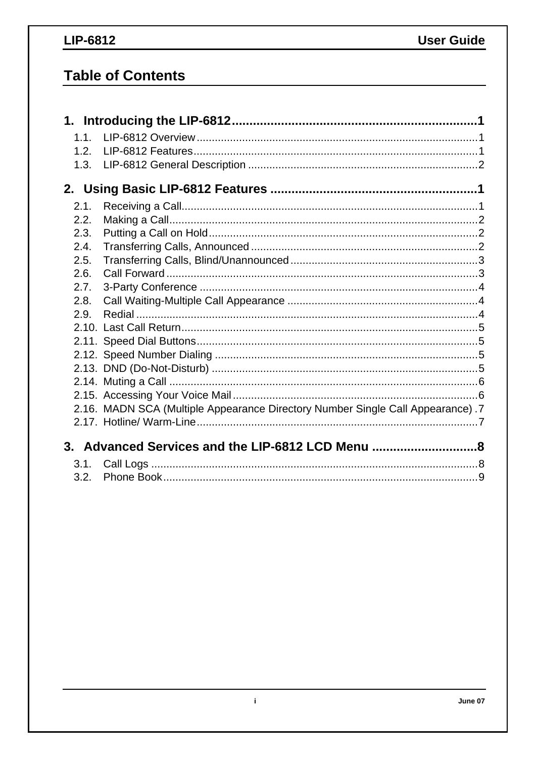# LIP-6812

# **Table of Contents**

| 1.1. |                                                                                |  |
|------|--------------------------------------------------------------------------------|--|
| 1.2. |                                                                                |  |
| 1.3. |                                                                                |  |
|      |                                                                                |  |
| 2.1. |                                                                                |  |
| 2.2. |                                                                                |  |
| 2.3. |                                                                                |  |
| 2.4. |                                                                                |  |
| 2.5. |                                                                                |  |
| 2.6. |                                                                                |  |
| 2.7. |                                                                                |  |
| 2.8. |                                                                                |  |
| 2.9. |                                                                                |  |
|      |                                                                                |  |
|      |                                                                                |  |
|      |                                                                                |  |
|      |                                                                                |  |
|      |                                                                                |  |
|      |                                                                                |  |
|      | 2.16. MADN SCA (Multiple Appearance Directory Number Single Call Appearance).7 |  |
|      |                                                                                |  |
|      | 3. Advanced Services and the LIP-6812 LCD Menu 8                               |  |
| 3.1. |                                                                                |  |
| 3.2. |                                                                                |  |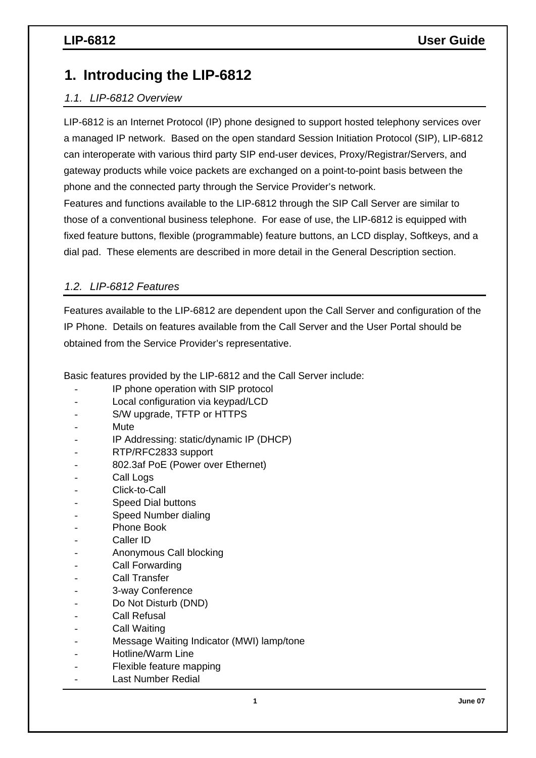# **1. Introducing the LIP-6812**

## *1.1. LIP-6812 Overview*

LIP-6812 is an Internet Protocol (IP) phone designed to support hosted telephony services over a managed IP network. Based on the open standard Session Initiation Protocol (SIP), LIP-6812 can interoperate with various third party SIP end-user devices, Proxy/Registrar/Servers, and gateway products while voice packets are exchanged on a point-to-point basis between the phone and the connected party through the Service Provider's network.

Features and functions available to the LIP-6812 through the SIP Call Server are similar to those of a conventional business telephone. For ease of use, the LIP-6812 is equipped with fixed feature buttons, flexible (programmable) feature buttons, an LCD display, Softkeys, and a dial pad. These elements are described in more detail in the General Description section.

## *1.2. LIP-6812 Features*

Features available to the LIP-6812 are dependent upon the Call Server and configuration of the IP Phone. Details on features available from the Call Server and the User Portal should be obtained from the Service Provider's representative.

Basic features provided by the LIP-6812 and the Call Server include:

- IP phone operation with SIP protocol
- Local configuration via keypad/LCD
- S/W upgrade, TFTP or HTTPS
- **Mute**
- IP Addressing: static/dynamic IP (DHCP)
- RTP/RFC2833 support
- 802.3af PoE (Power over Ethernet)
- Call Logs
- Click-to-Call
- Speed Dial buttons
- Speed Number dialing
- Phone Book
- Caller ID
- Anonymous Call blocking
- Call Forwarding
- Call Transfer
- 3-way Conference
- Do Not Disturb (DND)
- Call Refusal
- Call Waiting
- Message Waiting Indicator (MWI) lamp/tone
- Hotline/Warm Line
- Flexible feature mapping
- Last Number Redial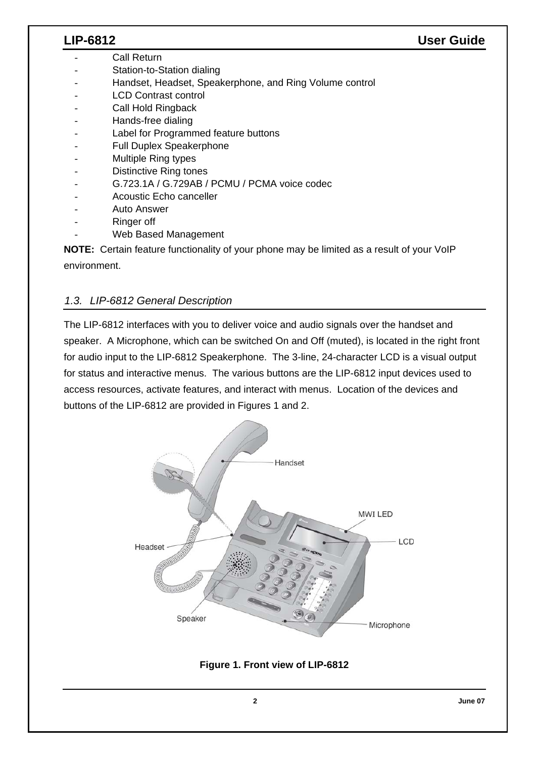- Call Return
- Station-to-Station dialing
- Handset, Headset, Speakerphone, and Ring Volume control
- LCD Contrast control
- Call Hold Ringback
- Hands-free dialing
- Label for Programmed feature buttons
- Full Duplex Speakerphone
- Multiple Ring types
- Distinctive Ring tones
- G.723.1A / G.729AB / PCMU / PCMA voice codec
- Acoustic Echo canceller
- Auto Answer
- Ringer off
- Web Based Management

**NOTE:** Certain feature functionality of your phone may be limited as a result of your VoIP environment.

### *1.3. LIP-6812 General Description*

The LIP-6812 interfaces with you to deliver voice and audio signals over the handset and speaker. A Microphone, which can be switched On and Off (muted), is located in the right front for audio input to the LIP-6812 Speakerphone. The 3-line, 24-character LCD is a visual output for status and interactive menus. The various buttons are the LIP-6812 input devices used to access resources, activate features, and interact with menus. Location of the devices and buttons of the LIP-6812 are provided in Figures 1 and 2.



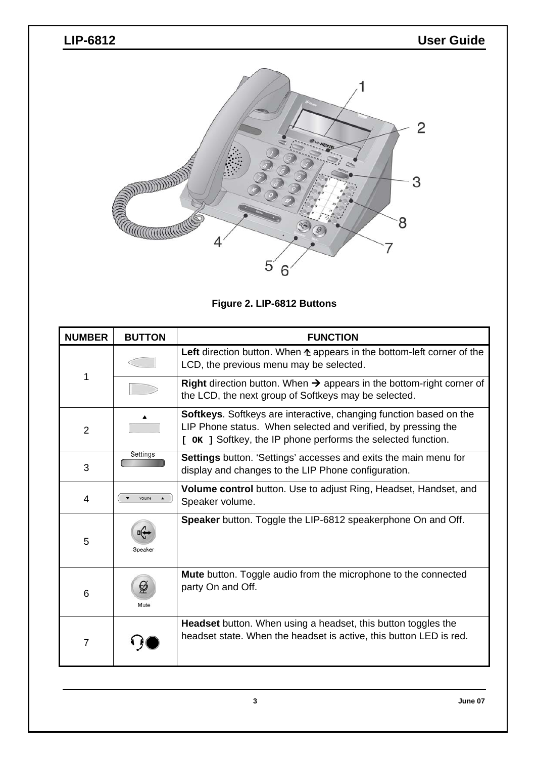

**Figure 2. LIP-6812 Buttons** 

| <b>NUMBER</b>  | <b>BUTTON</b>                                                                                                                                                                                              | <b>FUNCTION</b>                                                                                                                                 |  |  |  |
|----------------|------------------------------------------------------------------------------------------------------------------------------------------------------------------------------------------------------------|-------------------------------------------------------------------------------------------------------------------------------------------------|--|--|--|
|                |                                                                                                                                                                                                            | Left direction button. When $\triangle$ appears in the bottom-left corner of the<br>LCD, the previous menu may be selected.                     |  |  |  |
| 1              |                                                                                                                                                                                                            | <b>Right</b> direction button. When $\rightarrow$ appears in the bottom-right corner of<br>the LCD, the next group of Softkeys may be selected. |  |  |  |
| $\overline{2}$ | <b>Softkeys.</b> Softkeys are interactive, changing function based on the<br>LIP Phone status. When selected and verified, by pressing the<br>[ OK ] Softkey, the IP phone performs the selected function. |                                                                                                                                                 |  |  |  |
| 3              | Settings                                                                                                                                                                                                   | <b>Settings</b> button. 'Settings' accesses and exits the main menu for<br>display and changes to the LIP Phone configuration.                  |  |  |  |
| 4              | Volume                                                                                                                                                                                                     | Volume control button. Use to adjust Ring, Headset, Handset, and<br>Speaker volume.                                                             |  |  |  |
| 5              | Speaker                                                                                                                                                                                                    | Speaker button. Toggle the LIP-6812 speakerphone On and Off.                                                                                    |  |  |  |
| 6              | Ø<br>Mute                                                                                                                                                                                                  | Mute button. Toggle audio from the microphone to the connected<br>party On and Off.                                                             |  |  |  |
| $\overline{7}$ |                                                                                                                                                                                                            | <b>Headset</b> button. When using a headset, this button toggles the<br>headset state. When the headset is active, this button LED is red.      |  |  |  |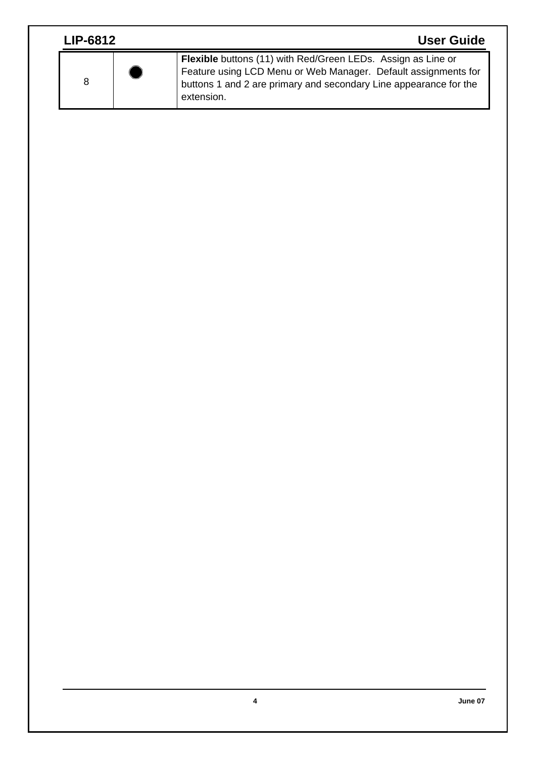| <b>LIP-6812</b> | <b>User Guide</b>                                                                                                                                                                                                        |
|-----------------|--------------------------------------------------------------------------------------------------------------------------------------------------------------------------------------------------------------------------|
| 8               | <b>Flexible</b> buttons (11) with Red/Green LEDs. Assign as Line or<br>Feature using LCD Menu or Web Manager. Default assignments for<br>buttons 1 and 2 are primary and secondary Line appearance for the<br>extension. |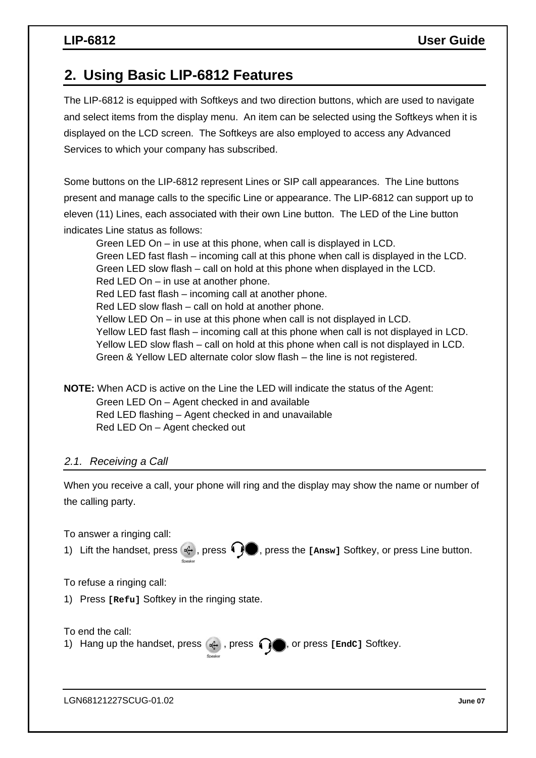# **2. Using Basic LIP-6812 Features**

The LIP-6812 is equipped with Softkeys and two direction buttons, which are used to navigate and select items from the display menu. An item can be selected using the Softkeys when it is displayed on the LCD screen. The Softkeys are also employed to access any Advanced Services to which your company has subscribed.

Some buttons on the LIP-6812 represent Lines or SIP call appearances. The Line buttons present and manage calls to the specific Line or appearance. The LIP-6812 can support up to eleven (11) Lines, each associated with their own Line button. The LED of the Line button indicates Line status as follows:

 Green LED On – in use at this phone, when call is displayed in LCD. Green LED fast flash – incoming call at this phone when call is displayed in the LCD. Green LED slow flash – call on hold at this phone when displayed in the LCD. Red LED On – in use at another phone. Red LED fast flash – incoming call at another phone. Red LED slow flash – call on hold at another phone. Yellow LED On – in use at this phone when call is not displayed in LCD. Yellow LED fast flash – incoming call at this phone when call is not displayed in LCD. Yellow LED slow flash – call on hold at this phone when call is not displayed in LCD. Green & Yellow LED alternate color slow flash – the line is not registered.

**NOTE:** When ACD is active on the Line the LED will indicate the status of the Agent:

 Green LED On – Agent checked in and available Red LED flashing – Agent checked in and unavailable Red LED On – Agent checked out

### *2.1. Receiving a Call*

When you receive a call, your phone will ring and the display may show the name or number of the calling party.

To answer a ringing call: 1) Lift the handset, press  $\ket{\cdot}$ , press  $\ket{\cdot}$ , press the [Answ] Softkey, or press Line button. To refuse a ringing call: 1) Press **[Refu]** Softkey in the ringing state. To end the call: 1) Hang up the handset, press  $\mathbb{R}$ , press  $\mathbb{R}$ , or press [EndC] Softkey.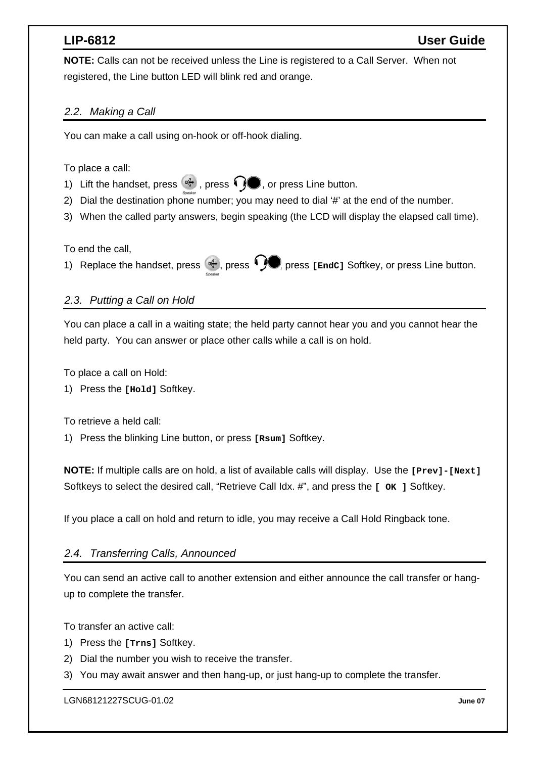**NOTE:** Calls can not be received unless the Line is registered to a Call Server. When not registered, the Line button LED will blink red and orange.

### *2.2. Making a Call*

You can make a call using on-hook or off-hook dialing.

### To place a call:

- 1) Lift the handset, press  $\mathbb{R}$ , press  $\mathbb{Q}$ , or press Line button.
- 2) Dial the destination phone number; you may need to dial '#' at the end of the number.
- 3) When the called party answers, begin speaking (the LCD will display the elapsed call time).

### To end the call,

1) Replace the handset, press (ort), press  $\bigcirc$ , press [EndC] Softkey, or press Line button.

## *2.3. Putting a Call on Hold*

You can place a call in a waiting state; the held party cannot hear you and you cannot hear the held party. You can answer or place other calls while a call is on hold.

To place a call on Hold:

1) Press the **[Hold]** Softkey.

To retrieve a held call:

1) Press the blinking Line button, or press **[Rsum]** Softkey.

**NOTE:** If multiple calls are on hold, a list of available calls will display. Use the **[Prev]-[Next]** Softkeys to select the desired call, "Retrieve Call Idx. #", and press the **[ OK ]** Softkey.

If you place a call on hold and return to idle, you may receive a Call Hold Ringback tone.

### *2.4. Transferring Calls, Announced*

You can send an active call to another extension and either announce the call transfer or hangup to complete the transfer.

To transfer an active call:

- 1) Press the **[Trns]** Softkey.
- 2) Dial the number you wish to receive the transfer.
- 3) You may await answer and then hang-up, or just hang-up to complete the transfer.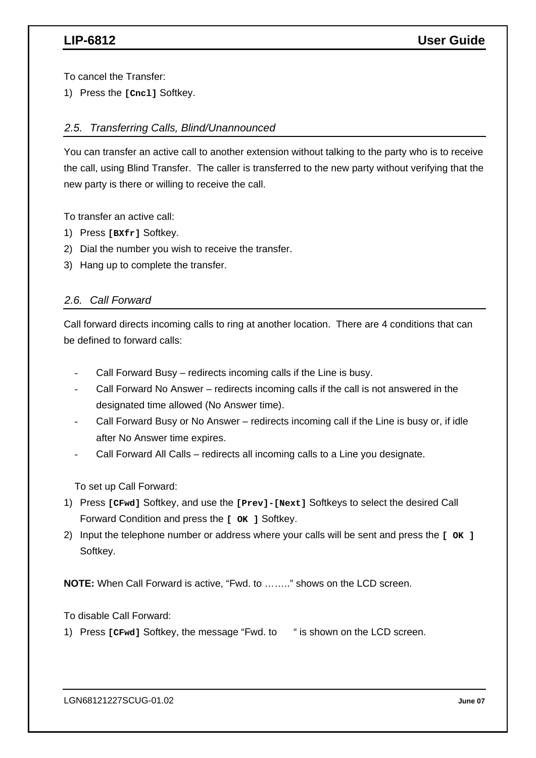To cancel the Transfer:

1) Press the **[Cncl]** Softkey.

### *2.5. Transferring Calls, Blind/Unannounced*

You can transfer an active call to another extension without talking to the party who is to receive the call, using Blind Transfer. The caller is transferred to the new party without verifying that the new party is there or willing to receive the call.

To transfer an active call:

- 1) Press **[BXfr]** Softkey.
- 2) Dial the number you wish to receive the transfer.
- 3) Hang up to complete the transfer.

### *2.6. Call Forward*

Call forward directs incoming calls to ring at another location. There are 4 conditions that can be defined to forward calls:

- Call Forward Busy redirects incoming calls if the Line is busy.
- Call Forward No Answer redirects incoming calls if the call is not answered in the designated time allowed (No Answer time).
- Call Forward Busy or No Answer redirects incoming call if the Line is busy or, if idle after No Answer time expires.
- Call Forward All Calls redirects all incoming calls to a Line you designate.

To set up Call Forward:

- 1) Press **[CFwd]** Softkey, and use the **[Prev]-[Next]** Softkeys to select the desired Call Forward Condition and press the **[ OK ]** Softkey.
- 2) Input the telephone number or address where your calls will be sent and press the **[ OK ]** Softkey.

**NOTE:** When Call Forward is active, "Fwd. to …….." shows on the LCD screen.

To disable Call Forward:

1) Press **[CFwd]** Softkey, the message "Fwd. to " is shown on the LCD screen.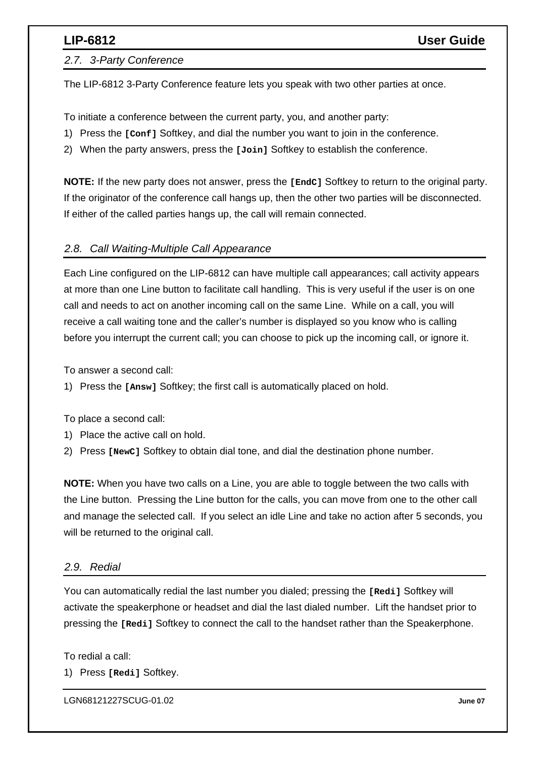### *2.7. 3-Party Conference*

The LIP-6812 3-Party Conference feature lets you speak with two other parties at once.

To initiate a conference between the current party, you, and another party:

- 1) Press the **[Conf]** Softkey, and dial the number you want to join in the conference.
- 2) When the party answers, press the **[Join]** Softkey to establish the conference.

**NOTE:** If the new party does not answer, press the **[EndC]** Softkey to return to the original party. If the originator of the conference call hangs up, then the other two parties will be disconnected. If either of the called parties hangs up, the call will remain connected.

### *2.8. Call Waiting-Multiple Call Appearance*

Each Line configured on the LIP-6812 can have multiple call appearances; call activity appears at more than one Line button to facilitate call handling. This is very useful if the user is on one call and needs to act on another incoming call on the same Line. While on a call, you will receive a call waiting tone and the caller's number is displayed so you know who is calling before you interrupt the current call; you can choose to pick up the incoming call, or ignore it.

To answer a second call:

1) Press the **[Answ]** Softkey; the first call is automatically placed on hold.

To place a second call:

- 1) Place the active call on hold.
- 2) Press **[NewC]** Softkey to obtain dial tone, and dial the destination phone number.

**NOTE:** When you have two calls on a Line, you are able to toggle between the two calls with the Line button. Pressing the Line button for the calls, you can move from one to the other call and manage the selected call. If you select an idle Line and take no action after 5 seconds, you will be returned to the original call.

### *2.9. Redial*

You can automatically redial the last number you dialed; pressing the **[Redi]** Softkey will activate the speakerphone or headset and dial the last dialed number. Lift the handset prior to pressing the **[Redi]** Softkey to connect the call to the handset rather than the Speakerphone.

To redial a call:

1) Press **[Redi]** Softkey.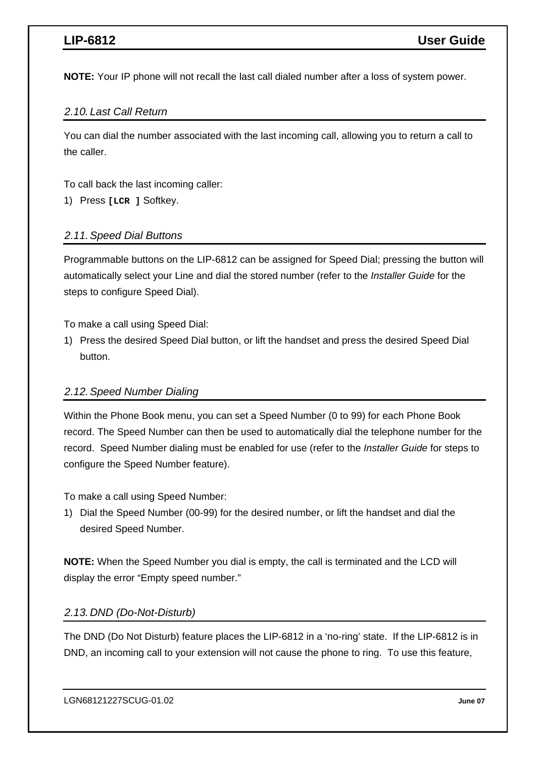**NOTE:** Your IP phone will not recall the last call dialed number after a loss of system power.

### *2.10. Last Call Return*

You can dial the number associated with the last incoming call, allowing you to return a call to the caller.

To call back the last incoming caller:

1) Press **[LCR ]** Softkey.

### *2.11. Speed Dial Buttons*

Programmable buttons on the LIP-6812 can be assigned for Speed Dial; pressing the button will automatically select your Line and dial the stored number (refer to the *Installer Guide* for the steps to configure Speed Dial).

To make a call using Speed Dial:

1) Press the desired Speed Dial button, or lift the handset and press the desired Speed Dial button.

### *2.12. Speed Number Dialing*

Within the Phone Book menu, you can set a Speed Number (0 to 99) for each Phone Book record. The Speed Number can then be used to automatically dial the telephone number for the record. Speed Number dialing must be enabled for use (refer to the *Installer Guide* for steps to configure the Speed Number feature).

To make a call using Speed Number:

1) Dial the Speed Number (00-99) for the desired number, or lift the handset and dial the desired Speed Number.

**NOTE:** When the Speed Number you dial is empty, the call is terminated and the LCD will display the error "Empty speed number."

### *2.13. DND (Do-Not-Disturb)*

The DND (Do Not Disturb) feature places the LIP-6812 in a 'no-ring' state. If the LIP-6812 is in DND, an incoming call to your extension will not cause the phone to ring. To use this feature,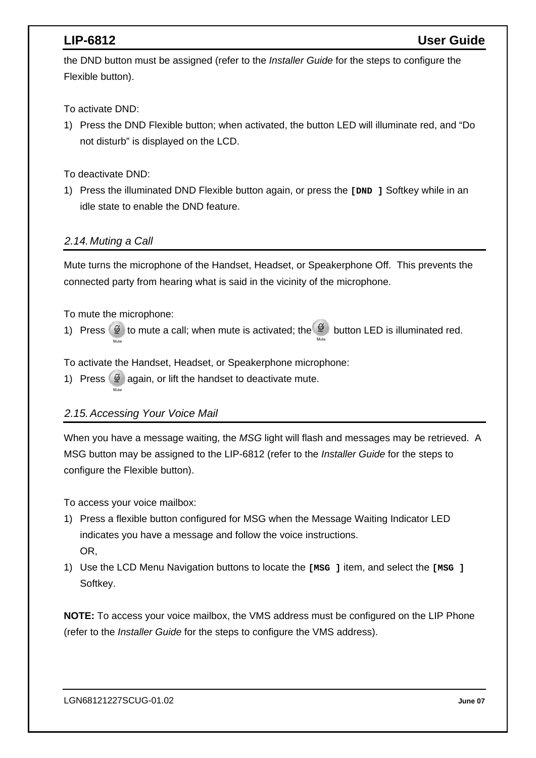the DND button must be assigned (refer to the *Installer Guide* for the steps to configure the Flexible button).

To activate DND:

1) Press the DND Flexible button; when activated, the button LED will illuminate red, and "Do not disturb" is displayed on the LCD.

To deactivate DND:

1) Press the illuminated DND Flexible button again, or press the **[DND ]** Softkey while in an idle state to enable the DND feature.

### *2.14. Muting a Call*

Mute turns the microphone of the Handset, Headset, or Speakerphone Off. This prevents the connected party from hearing what is said in the vicinity of the microphone.

To mute the microphone:

1) Press  $\circled{2}$  to mute a call; when mute is activated; the  $\circled{2}$  button LED is illuminated red.

To activate the Handset, Headset, or Speakerphone microphone:

1) Press  $\mathscr{D}$  again, or lift the handset to deactivate mute.

## *2.15. Accessing Your Voice Mail*

When you have a message waiting, the *MSG* light will flash and messages may be retrieved. A MSG button may be assigned to the LIP-6812 (refer to the *Installer Guide* for the steps to configure the Flexible button).

To access your voice mailbox:

- 1) Press a flexible button configured for MSG when the Message Waiting Indicator LED indicates you have a message and follow the voice instructions. OR,
- 1) Use the LCD Menu Navigation buttons to locate the **[MSG ]** item, and select the **[MSG ]** Softkey.

**NOTE:** To access your voice mailbox, the VMS address must be configured on the LIP Phone (refer to the *Installer Guide* for the steps to configure the VMS address).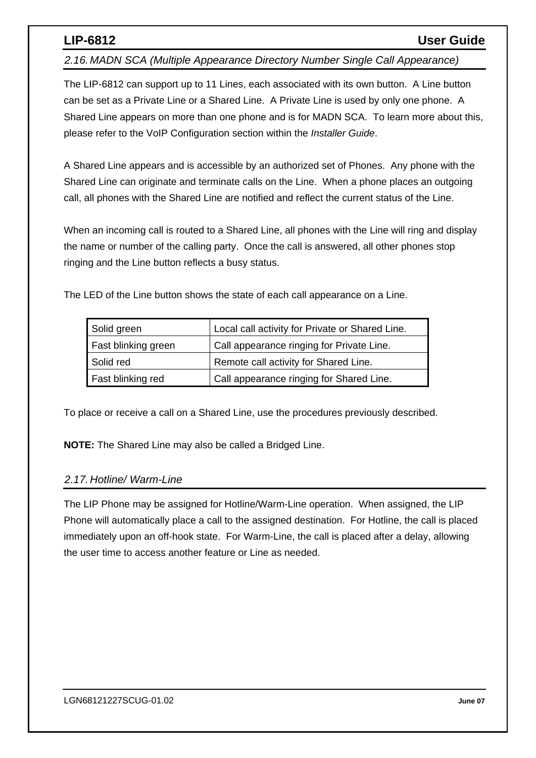*2.16. MADN SCA (Multiple Appearance Directory Number Single Call Appearance)* 

The LIP-6812 can support up to 11 Lines, each associated with its own button. A Line button can be set as a Private Line or a Shared Line. A Private Line is used by only one phone. A Shared Line appears on more than one phone and is for MADN SCA. To learn more about this, please refer to the VoIP Configuration section within the *Installer Guide*.

A Shared Line appears and is accessible by an authorized set of Phones. Any phone with the Shared Line can originate and terminate calls on the Line. When a phone places an outgoing call, all phones with the Shared Line are notified and reflect the current status of the Line.

When an incoming call is routed to a Shared Line, all phones with the Line will ring and display the name or number of the calling party. Once the call is answered, all other phones stop ringing and the Line button reflects a busy status.

The LED of the Line button shows the state of each call appearance on a Line.

| Solid green         | Local call activity for Private or Shared Line. |
|---------------------|-------------------------------------------------|
| Fast blinking green | Call appearance ringing for Private Line.       |
| Solid red           | Remote call activity for Shared Line.           |
| Fast blinking red   | Call appearance ringing for Shared Line.        |

To place or receive a call on a Shared Line, use the procedures previously described.

**NOTE:** The Shared Line may also be called a Bridged Line.

### *2.17. Hotline/ Warm-Line*

The LIP Phone may be assigned for Hotline/Warm-Line operation. When assigned, the LIP Phone will automatically place a call to the assigned destination. For Hotline, the call is placed immediately upon an off-hook state. For Warm-Line, the call is placed after a delay, allowing the user time to access another feature or Line as needed.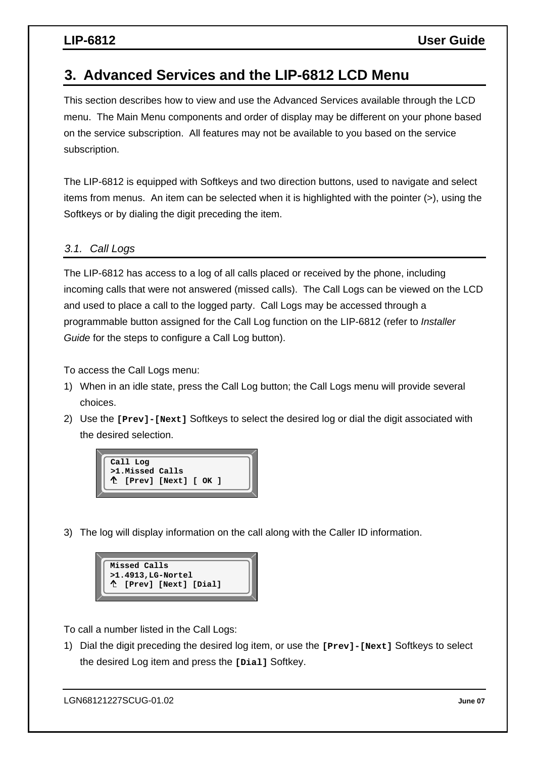# **3. Advanced Services and the LIP-6812 LCD Menu**

This section describes how to view and use the Advanced Services available through the LCD menu. The Main Menu components and order of display may be different on your phone based on the service subscription. All features may not be available to you based on the service subscription.

The LIP-6812 is equipped with Softkeys and two direction buttons, used to navigate and select items from menus. An item can be selected when it is highlighted with the pointer (>), using the Softkeys or by dialing the digit preceding the item.

### *3.1. Call Logs*

The LIP-6812 has access to a log of all calls placed or received by the phone, including incoming calls that were not answered (missed calls). The Call Logs can be viewed on the LCD and used to place a call to the logged party. Call Logs may be accessed through a programmable button assigned for the Call Log function on the LIP-6812 (refer to *Installer Guide* for the steps to configure a Call Log button).

To access the Call Logs menu:

- 1) When in an idle state, press the Call Log button; the Call Logs menu will provide several choices.
- 2) Use the **[Prev]-[Next]** Softkeys to select the desired log or dial the digit associated with the desired selection.



3) The log will display information on the call along with the Caller ID information.



To call a number listed in the Call Logs:

1) Dial the digit preceding the desired log item, or use the **[Prev]-[Next]** Softkeys to select the desired Log item and press the **[Dial]** Softkey.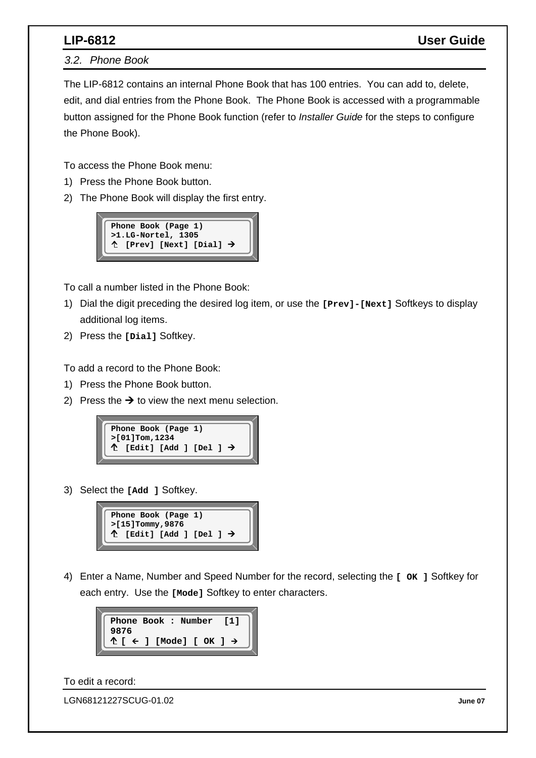*3.2. Phone Book* 

The LIP-6812 contains an internal Phone Book that has 100 entries. You can add to, delete, edit, and dial entries from the Phone Book. The Phone Book is accessed with a programmable button assigned for the Phone Book function (refer to *Installer Guide* for the steps to configure the Phone Book).

To access the Phone Book menu:

- 1) Press the Phone Book button.
- 2) The Phone Book will display the first entry.



To call a number listed in the Phone Book:

- 1) Dial the digit preceding the desired log item, or use the **[Prev]-[Next]** Softkeys to display additional log items.
- 2) Press the **[Dial]** Softkey.

To add a record to the Phone Book:

- 1) Press the Phone Book button.
- 2) Press the  $\rightarrow$  to view the next menu selection.



3) Select the **[Add ]** Softkey.



4) Enter a Name, Number and Speed Number for the record, selecting the **[ OK ]** Softkey for each entry. Use the **[Mode]** Softkey to enter characters.



To edit a record: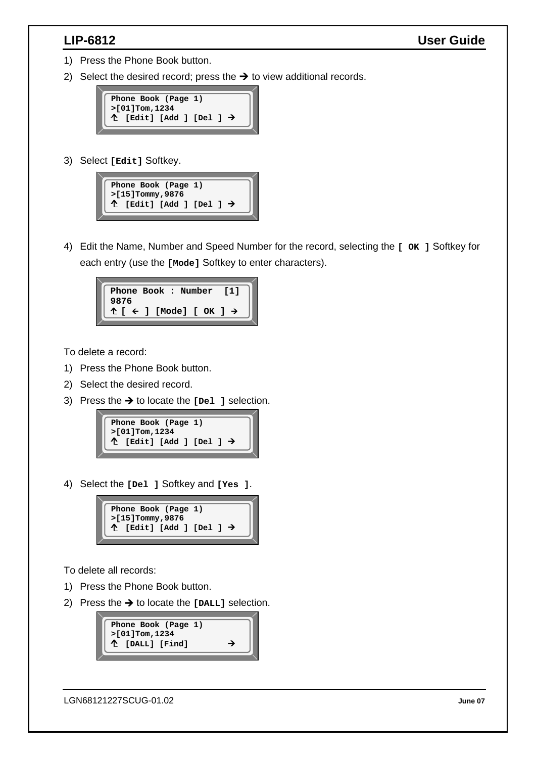- 1) Press the Phone Book button.
- 2) Select the desired record; press the  $\rightarrow$  to view additional records.



3) Select **[Edit]** Softkey.



4) Edit the Name, Number and Speed Number for the record, selecting the **[ OK ]** Softkey for each entry (use the **[Mode]** Softkey to enter characters).

|      | Phone Book : Number [1] |  |
|------|-------------------------|--|
| 9876 | $f \in J$ [Mode] [ OK ] |  |
|      |                         |  |

To delete a record:

- 1) Press the Phone Book button.
- 2) Select the desired record.
- 3) Press the  $\rightarrow$  to locate the [Del ] selection.



4) Select the **[Del ]** Softkey and **[Yes ]**.



To delete all records:

- 1) Press the Phone Book button.
- 2) Press the  $\rightarrow$  to locate the  $[DALL]$  selection.